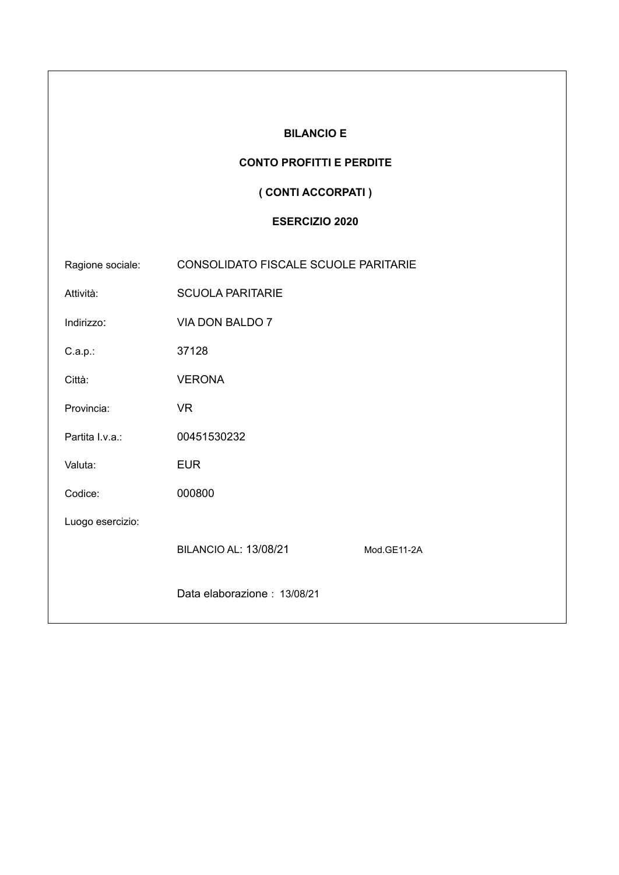| <b>BILANCIO E</b>     |                                             |  |  |  |
|-----------------------|---------------------------------------------|--|--|--|
|                       | <b>CONTO PROFITTI E PERDITE</b>             |  |  |  |
|                       | (CONTI ACCORPATI)                           |  |  |  |
| <b>ESERCIZIO 2020</b> |                                             |  |  |  |
| Ragione sociale:      | CONSOLIDATO FISCALE SCUOLE PARITARIE        |  |  |  |
| Attività:             | <b>SCUOLA PARITARIE</b>                     |  |  |  |
| Indirizzo:            | VIA DON BALDO 7                             |  |  |  |
| $C.a.p.$ :            | 37128                                       |  |  |  |
| Città:                | <b>VERONA</b>                               |  |  |  |
| Provincia:            | <b>VR</b>                                   |  |  |  |
| Partita I.v.a.:       | 00451530232                                 |  |  |  |
| Valuta:               | <b>EUR</b>                                  |  |  |  |
| Codice:               | 000800                                      |  |  |  |
| Luogo esercizio:      |                                             |  |  |  |
|                       | <b>BILANCIO AL: 13/08/21</b><br>Mod.GE11-2A |  |  |  |
|                       | Data elaborazione: 13/08/21                 |  |  |  |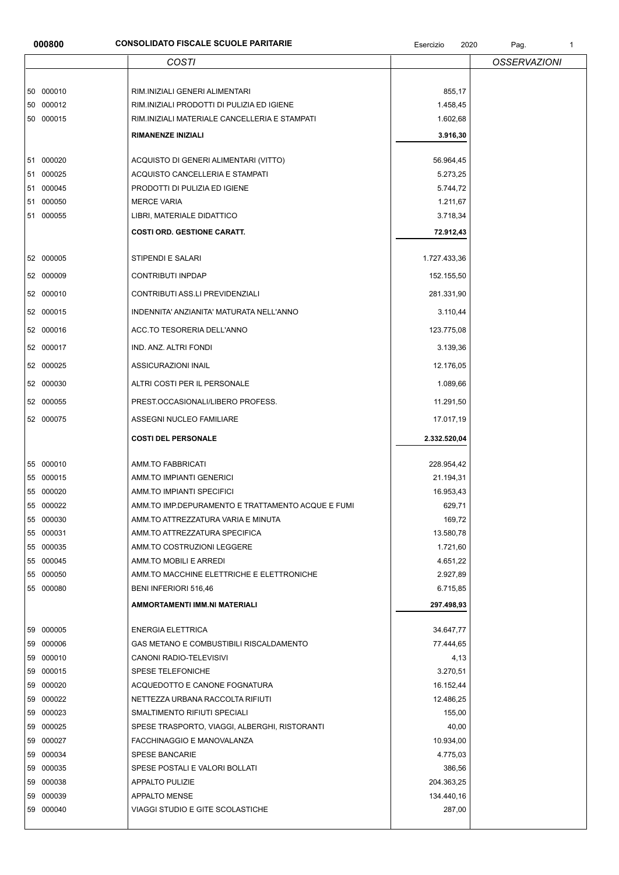## **000800 CONSOLIDATO FISCALE SCUOLE PARITARIE CONSOLIDATO FISCALE SCUOLE PARITARIE Esercizio** 2020 Pag. 1

|              | <b>COSTI</b>                                        |                        | <b>OSSERVAZIONI</b> |
|--------------|-----------------------------------------------------|------------------------|---------------------|
| 50 000010    | RIM.INIZIALI GENERI ALIMENTARI                      | 855,17                 |                     |
|              |                                                     |                        |                     |
| 50 000012    | RIM. INIZIALI PRODOTTI DI PULIZIA ED IGIENE         | 1.458,45               |                     |
| 50 000015    | RIM.INIZIALI MATERIALE CANCELLERIA E STAMPATI       | 1.602,68               |                     |
|              | RIMANENZE INIZIALI                                  | 3.916,30               |                     |
| 51 000020    | ACQUISTO DI GENERI ALIMENTARI (VITTO)               | 56.964,45              |                     |
| 51 000025    | ACQUISTO CANCELLERIA E STAMPATI                     | 5.273,25               |                     |
| 51 000045    | PRODOTTI DI PULIZIA ED IGIENE                       | 5.744,72               |                     |
| 51 000050    | <b>MERCE VARIA</b>                                  | 1.211,67               |                     |
| 51 000055    | LIBRI, MATERIALE DIDATTICO                          | 3.718,34               |                     |
|              | <b>COSTI ORD. GESTIONE CARATT.</b>                  | 72.912,43              |                     |
| 52 000005    | STIPENDI E SALARI                                   | 1.727.433,36           |                     |
| 52 000009    | CONTRIBUTI INPDAP                                   | 152.155,50             |                     |
|              |                                                     |                        |                     |
| 52 000010    | CONTRIBUTI ASS.LI PREVIDENZIALI                     | 281.331,90             |                     |
| 52 000015    | INDENNITA' ANZIANITA' MATURATA NELL'ANNO            | 3.110,44               |                     |
| 52 000016    | ACC.TO TESORERIA DELL'ANNO                          | 123.775,08             |                     |
| 52 000017    | IND. ANZ. ALTRI FONDI                               | 3.139,36               |                     |
| 52 000025    | ASSICURAZIONI INAIL                                 | 12.176,05              |                     |
| 52 000030    | ALTRI COSTI PER IL PERSONALE                        | 1.089,66               |                     |
| 52 000055    | PREST.OCCASIONALI/LIBERO PROFESS.                   | 11.291,50              |                     |
| 52 000075    | ASSEGNI NUCLEO FAMILIARE                            | 17.017,19              |                     |
|              | <b>COSTI DEL PERSONALE</b>                          | 2.332.520,04           |                     |
| 55 000010    | AMM.TO FABBRICATI                                   | 228.954,42             |                     |
| 55 000015    | AMM.TO IMPIANTI GENERICI                            | 21.194,31              |                     |
| 55 000020    | AMM.TO IMPIANTI SPECIFICI                           | 16.953,43              |                     |
| 55 000022    | AMM.TO IMP.DEPURAMENTO E TRATTAMENTO ACQUE E FUMI   | 629,71                 |                     |
| 55 000030    | AMM.TO ATTREZZATURA VARIA E MINUTA                  | 169,72                 |                     |
| 55 000031    | AMM.TO ATTREZZATURA SPECIFICA                       | 13.580,78              |                     |
| 55 000035    | AMM.TO COSTRUZIONI LEGGERE                          | 1.721,60               |                     |
| 55 000045    | AMM.TO MOBILI E ARREDI                              | 4.651,22               |                     |
| 55 000050    | AMM. TO MACCHINE ELETTRICHE E ELETTRONICHE          | 2.927,89               |                     |
| 55 000080    | BENI INFERIORI 516,46                               | 6.715,85               |                     |
|              | AMMORTAMENTI IMM.NI MATERIALI                       | 297.498,93             |                     |
| 59 000005    | <b>ENERGIA ELETTRICA</b>                            |                        |                     |
| 59 000006    | GAS METANO E COMBUSTIBILI RISCALDAMENTO             | 34.647,77<br>77.444,65 |                     |
| 59 000010    |                                                     |                        |                     |
| 59 000015    | CANONI RADIO-TELEVISIVI<br><b>SPESE TELEFONICHE</b> | 4,13<br>3.270,51       |                     |
| 000020<br>59 | ACQUEDOTTO E CANONE FOGNATURA                       | 16.152,44              |                     |
| 000022<br>59 | NETTEZZA URBANA RACCOLTA RIFIUTI                    | 12.486,25              |                     |
| 59 000023    | SMALTIMENTO RIFIUTI SPECIALI                        | 155,00                 |                     |
| 59 000025    | SPESE TRASPORTO, VIAGGI, ALBERGHI, RISTORANTI       | 40,00                  |                     |
| 59 000027    | FACCHINAGGIO E MANOVALANZA                          | 10.934,00              |                     |
| 000034<br>59 | <b>SPESE BANCARIE</b>                               | 4.775,03               |                     |
| 59 000035    | SPESE POSTALI E VALORI BOLLATI                      |                        |                     |
| 59 000038    | APPALTO PULIZIE                                     | 386,56<br>204.363,25   |                     |
| 59 000039    | <b>APPALTO MENSE</b>                                | 134.440,16             |                     |
|              |                                                     |                        |                     |
| 59 000040    | VIAGGI STUDIO E GITE SCOLASTICHE                    | 287,00                 |                     |
|              |                                                     |                        |                     |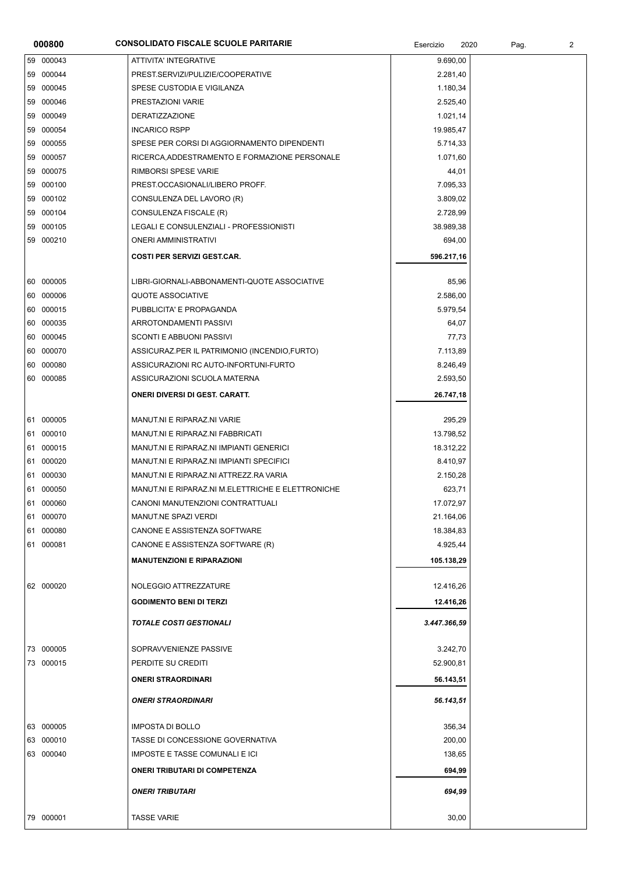| 000800    | <b>CONSOLIDATO FISCALE SCUOLE PARITARIE</b>       | Esercizio<br>2020 | Pag. | $\overline{2}$ |
|-----------|---------------------------------------------------|-------------------|------|----------------|
| 59 000043 | ATTIVITA' INTEGRATIVE                             | 9.690,00          |      |                |
| 59 000044 | PREST.SERVIZI/PULIZIE/COOPERATIVE                 | 2.281,40          |      |                |
| 59 000045 | SPESE CUSTODIA E VIGILANZA                        | 1.180,34          |      |                |
| 59 000046 | PRESTAZIONI VARIE                                 | 2.525,40          |      |                |
| 59 000049 | <b>DERATIZZAZIONE</b>                             | 1.021,14          |      |                |
| 59 000054 | <b>INCARICO RSPP</b>                              | 19.985,47         |      |                |
| 59 000055 | SPESE PER CORSI DI AGGIORNAMENTO DIPENDENTI       | 5.714,33          |      |                |
| 59 000057 | RICERCA, ADDESTRAMENTO E FORMAZIONE PERSONALE     | 1.071,60          |      |                |
| 59 000075 | RIMBORSI SPESE VARIE                              | 44,01             |      |                |
| 59 000100 | PREST.OCCASIONALI/LIBERO PROFF.                   | 7.095,33          |      |                |
| 59 000102 | CONSULENZA DEL LAVORO (R)                         | 3.809,02          |      |                |
| 59 000104 | CONSULENZA FISCALE (R)                            | 2.728,99          |      |                |
| 59 000105 | LEGALI E CONSULENZIALI - PROFESSIONISTI           | 38.989,38         |      |                |
| 59 000210 | <b>ONERI AMMINISTRATIVI</b>                       | 694,00            |      |                |
|           | <b>COSTI PER SERVIZI GEST.CAR.</b>                | 596.217,16        |      |                |
| 60 000005 | LIBRI-GIORNALI-ABBONAMENTI-QUOTE ASSOCIATIVE      | 85,96             |      |                |
| 60 000006 | <b>QUOTE ASSOCIATIVE</b>                          | 2.586,00          |      |                |
| 60 000015 | PUBBLICITA' E PROPAGANDA                          | 5.979,54          |      |                |
| 60 000035 | ARROTONDAMENTI PASSIVI                            | 64,07             |      |                |
| 60 000045 | SCONTI E ABBUONI PASSIVI                          | 77,73             |      |                |
| 60 000070 | ASSICURAZ.PER IL PATRIMONIO (INCENDIO, FURTO)     | 7.113,89          |      |                |
| 60 000080 | ASSICURAZIONI RC AUTO-INFORTUNI-FURTO             | 8.246,49          |      |                |
| 60 000085 | ASSICURAZIONI SCUOLA MATERNA                      | 2.593,50          |      |                |
|           | <b>ONERI DIVERSI DI GEST. CARATT.</b>             | 26.747,18         |      |                |
| 61 000005 | MANUT.NI E RIPARAZ.NI VARIE                       | 295,29            |      |                |
| 61 000010 | MANUT.NI E RIPARAZ.NI FABBRICATI                  | 13.798,52         |      |                |
| 61 000015 | MANUT.NI E RIPARAZ.NI IMPIANTI GENERICI           | 18.312,22         |      |                |
| 61 000020 | MANUT.NI E RIPARAZ.NI IMPIANTI SPECIFICI          | 8.410,97          |      |                |
| 61 000030 | MANUT.NI E RIPARAZ.NI ATTREZZ.RA VARIA            | 2.150,28          |      |                |
| 61 000050 | MANUT.NI E RIPARAZ.NI M.ELETTRICHE E ELETTRONICHE | 623,71            |      |                |
| 61 000060 | CANONI MANUTENZIONI CONTRATTUALI                  | 17.072,97         |      |                |
| 61 000070 | MANUT.NE SPAZI VERDI                              | 21.164,06         |      |                |
| 61 000080 | CANONE E ASSISTENZA SOFTWARE                      | 18.384,83         |      |                |
| 61 000081 | CANONE E ASSISTENZA SOFTWARE (R)                  | 4.925,44          |      |                |
|           | <b>MANUTENZIONI E RIPARAZIONI</b>                 | 105.138,29        |      |                |
| 62 000020 | NOLEGGIO ATTREZZATURE                             | 12.416,26         |      |                |
|           | <b>GODIMENTO BENI DI TERZI</b>                    | 12.416,26         |      |                |
|           | <b>TOTALE COSTI GESTIONALI</b>                    | 3.447.366,59      |      |                |
| 73 000005 | SOPRAVVENIENZE PASSIVE                            | 3.242,70          |      |                |
| 73 000015 | PERDITE SU CREDITI                                | 52.900,81         |      |                |
|           | <b>ONERI STRAORDINARI</b>                         | 56.143,51         |      |                |
|           | <b>ONERI STRAORDINARI</b>                         | 56.143,51         |      |                |
| 63 000005 | <b>IMPOSTA DI BOLLO</b>                           | 356,34            |      |                |
| 63 000010 | TASSE DI CONCESSIONE GOVERNATIVA                  | 200,00            |      |                |
| 63 000040 | <b>IMPOSTE E TASSE COMUNALI E ICI</b>             | 138,65            |      |                |
|           | <b>ONERI TRIBUTARI DI COMPETENZA</b>              | 694,99            |      |                |
|           | <b>ONERI TRIBUTARI</b>                            | 694,99            |      |                |
| 79 000001 | <b>TASSE VARIE</b>                                | 30,00             |      |                |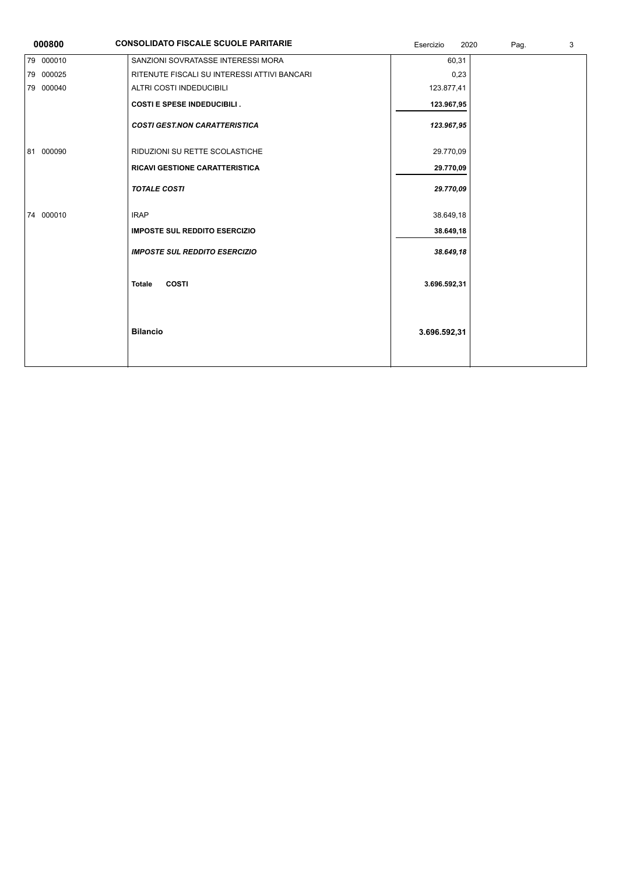| 000800    | <b>CONSOLIDATO FISCALE SCUOLE PARITARIE</b>  | Esercizio<br>2020 | Pag. | 3 |
|-----------|----------------------------------------------|-------------------|------|---|
| 79 000010 | SANZIONI SOVRATASSE INTERESSI MORA           | 60,31             |      |   |
| 79 000025 | RITENUTE FISCALI SU INTERESSI ATTIVI BANCARI | 0,23              |      |   |
| 79 000040 | ALTRI COSTI INDEDUCIBILI                     | 123.877,41        |      |   |
|           | <b>COSTI E SPESE INDEDUCIBILI.</b>           | 123.967,95        |      |   |
|           | <b>COSTI GEST.NON CARATTERISTICA</b>         | 123.967,95        |      |   |
| 81 000090 | RIDUZIONI SU RETTE SCOLASTICHE               | 29.770,09         |      |   |
|           | <b>RICAVI GESTIONE CARATTERISTICA</b>        | 29.770,09         |      |   |
|           | <b>TOTALE COSTI</b>                          | 29.770,09         |      |   |
| 74 000010 | <b>IRAP</b>                                  | 38.649,18         |      |   |
|           | <b>IMPOSTE SUL REDDITO ESERCIZIO</b>         | 38.649,18         |      |   |
|           | <b>IMPOSTE SUL REDDITO ESERCIZIO</b>         | 38.649,18         |      |   |
|           | <b>COSTI</b><br><b>Totale</b>                | 3.696.592,31      |      |   |
|           | <b>Bilancio</b>                              | 3.696.592,31      |      |   |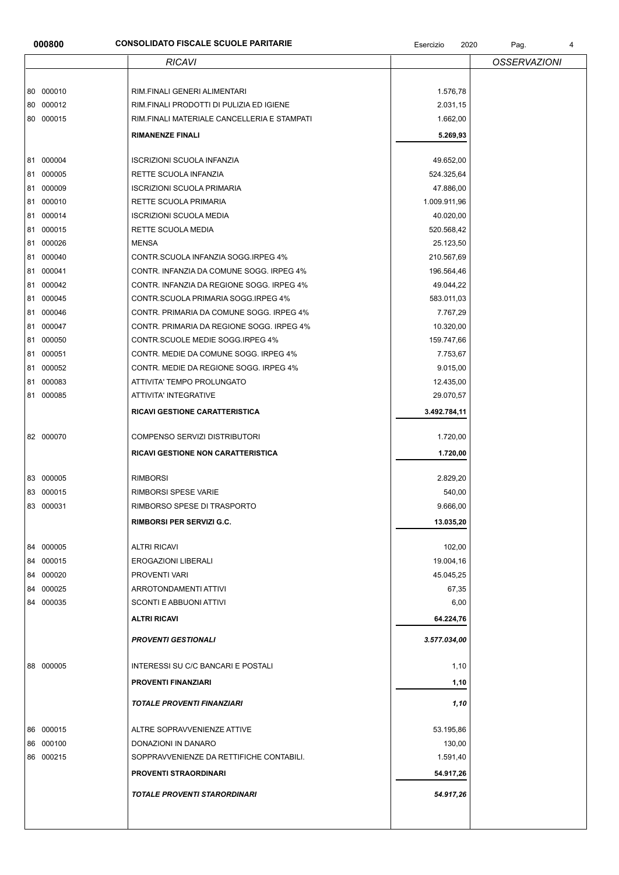## **000800 CONSOLIDATO FISCALE SCUOLE PARITARIE CONSOLIDATO FISCALE SCUOLE PARITARIE Esercizio** 2020 Pag. 4

|                        | <b>RICAVI</b>                                                   |                    | <b>OSSERVAZIONI</b> |
|------------------------|-----------------------------------------------------------------|--------------------|---------------------|
| 80 000010              | RIM.FINALI GENERI ALIMENTARI                                    | 1.576,78           |                     |
| 80 000012              | RIM.FINALI PRODOTTI DI PULIZIA ED IGIENE                        | 2.031,15           |                     |
| 80 000015              | RIM.FINALI MATERIALE CANCELLERIA E STAMPATI                     | 1.662,00           |                     |
|                        |                                                                 |                    |                     |
|                        | <b>RIMANENZE FINALI</b>                                         | 5.269,93           |                     |
| 81 000004              | <b>ISCRIZIONI SCUOLA INFANZIA</b>                               | 49.652,00          |                     |
| 81 000005              | RETTE SCUOLA INFANZIA                                           | 524.325,64         |                     |
| 81 000009              | <b>ISCRIZIONI SCUOLA PRIMARIA</b>                               | 47.886,00          |                     |
| 000010<br>81           | RETTE SCUOLA PRIMARIA                                           | 1.009.911,96       |                     |
| 81 000014              | <b>ISCRIZIONI SCUOLA MEDIA</b>                                  | 40.020,00          |                     |
| 81 000015              | RETTE SCUOLA MEDIA                                              | 520.568,42         |                     |
| 81 000026              | <b>MENSA</b>                                                    | 25.123,50          |                     |
| 000040<br>81           | CONTR.SCUOLA INFANZIA SOGG.IRPEG 4%                             | 210.567,69         |                     |
| 81 000041              | CONTR. INFANZIA DA COMUNE SOGG. IRPEG 4%                        | 196.564,46         |                     |
| 81 000042              | CONTR. INFANZIA DA REGIONE SOGG. IRPEG 4%                       | 49.044,22          |                     |
| 81 000045              | CONTR.SCUOLA PRIMARIA SOGG.IRPEG 4%                             | 583.011,03         |                     |
| 81 000046              | CONTR. PRIMARIA DA COMUNE SOGG. IRPEG 4%                        | 7.767,29           |                     |
| 81 000047              | CONTR. PRIMARIA DA REGIONE SOGG. IRPEG 4%                       | 10.320,00          |                     |
| 81 000050              | CONTR.SCUOLE MEDIE SOGG.IRPEG 4%                                | 159.747,66         |                     |
| 81 000051              | CONTR. MEDIE DA COMUNE SOGG. IRPEG 4%                           | 7.753,67           |                     |
| 81 000052              | CONTR. MEDIE DA REGIONE SOGG. IRPEG 4%                          | 9.015,00           |                     |
| 81 000083              | ATTIVITA' TEMPO PROLUNGATO                                      | 12.435,00          |                     |
| 81 000085              | ATTIVITA' INTEGRATIVE                                           | 29.070,57          |                     |
|                        | RICAVI GESTIONE CARATTERISTICA                                  | 3.492.784,11       |                     |
| 82 000070              | COMPENSO SERVIZI DISTRIBUTORI                                   | 1.720,00           |                     |
|                        | RICAVI GESTIONE NON CARATTERISTICA                              | 1.720,00           |                     |
|                        |                                                                 |                    |                     |
| 83 000005<br>83 000015 | <b>RIMBORSI</b>                                                 | 2.829,20           |                     |
| 83 000031              | <b>RIMBORSI SPESE VARIE</b><br>RIMBORSO SPESE DI TRASPORTO      | 540,00<br>9.666,00 |                     |
|                        |                                                                 |                    |                     |
|                        | RIMBORSI PER SERVIZI G.C.                                       | 13.035,20          |                     |
| 84 000005              | <b>ALTRI RICAVI</b>                                             | 102,00             |                     |
| 84 000015              | <b>EROGAZIONI LIBERALI</b>                                      | 19.004,16          |                     |
| 84 000020              | <b>PROVENTI VARI</b>                                            | 45.045,25          |                     |
| 84 000025              | ARROTONDAMENTI ATTIVI                                           | 67,35              |                     |
| 84 000035              | SCONTI E ABBUONI ATTIVI                                         | 6,00               |                     |
|                        | <b>ALTRI RICAVI</b>                                             | 64.224,76          |                     |
|                        | <b>PROVENTI GESTIONALI</b>                                      | 3.577.034,00       |                     |
| 88 000005              | INTERESSI SU C/C BANCARI E POSTALI                              | 1,10               |                     |
|                        | <b>PROVENTI FINANZIARI</b>                                      | 1,10               |                     |
|                        | <b>TOTALE PROVENTI FINANZIARI</b>                               | 1,10               |                     |
|                        |                                                                 |                    |                     |
| 86 000015              | ALTRE SOPRAVVENIENZE ATTIVE                                     | 53.195,86          |                     |
| 86 000100<br>86 000215 | DONAZIONI IN DANARO<br>SOPPRAVVENIENZE DA RETTIFICHE CONTABILI. | 130,00<br>1.591,40 |                     |
|                        |                                                                 |                    |                     |
|                        | <b>PROVENTI STRAORDINARI</b>                                    | 54.917,26          |                     |
|                        | <b>TOTALE PROVENTI STARORDINARI</b>                             | 54.917,26          |                     |
|                        |                                                                 |                    |                     |
|                        |                                                                 |                    |                     |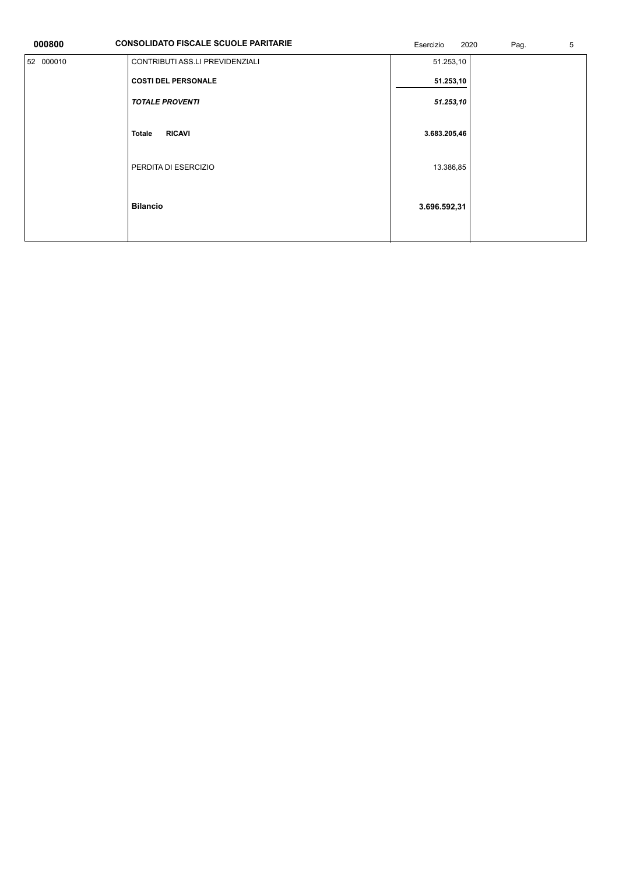| 000800    | <b>CONSOLIDATO FISCALE SCUOLE PARITARIE</b> | Esercizio<br>2020 | 5<br>Pag. |  |
|-----------|---------------------------------------------|-------------------|-----------|--|
| 52 000010 | CONTRIBUTI ASS.LI PREVIDENZIALI             | 51.253,10         |           |  |
|           | <b>COSTI DEL PERSONALE</b>                  | 51.253,10         |           |  |
|           | <b>TOTALE PROVENTI</b>                      | 51.253,10         |           |  |
|           |                                             |                   |           |  |
|           | <b>RICAVI</b><br><b>Totale</b>              | 3.683.205,46      |           |  |
|           | PERDITA DI ESERCIZIO                        | 13.386,85         |           |  |
|           |                                             |                   |           |  |
|           | <b>Bilancio</b>                             | 3.696.592,31      |           |  |
|           |                                             |                   |           |  |
|           |                                             |                   |           |  |